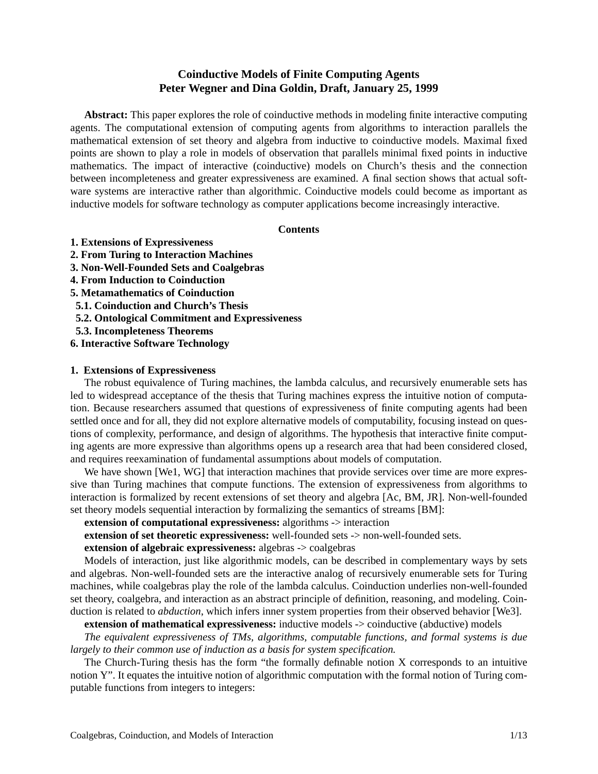# **Coinductive Models of Finite Computing Agents Peter Wegner and Dina Goldin, Draft, January 25, 1999**

**Abstract:** This paper explores the role of coinductive methods in modeling finite interactive computing agents. The computational extension of computing agents from algorithms to interaction parallels the mathematical extension of set theory and algebra from inductive to coinductive models. Maximal fixed points are shown to play a role in models of observation that parallels minimal fixed points in inductive mathematics. The impact of interactive (coinductive) models on Church's thesis and the connection between incompleteness and greater expressiveness are examined. A final section shows that actual software systems are interactive rather than algorithmic. Coinductive models could become as important as inductive models for software technology as computer applications become increasingly interactive.

**Contents**

- **1. Extensions of Expressiveness**
- **2. From Turing to Interaction Machines**
- **3. Non-Well-Founded Sets and Coalgebras**
- **4. From Induction to Coinduction**
- **5. Metamathematics of Coinduction**
- **5.1. Coinduction and Church's Thesis**
- **5.2. Ontological Commitment and Expressiveness**
- **5.3. Incompleteness Theorems**
- **6. Interactive Software Technology**

## **1. Extensions of Expressiveness**

The robust equivalence of Turing machines, the lambda calculus, and recursively enumerable sets has led to widespread acceptance of the thesis that Turing machines express the intuitive notion of computation. Because researchers assumed that questions of expressiveness of finite computing agents had been settled once and for all, they did not explore alternative models of computability, focusing instead on questions of complexity, performance, and design of algorithms. The hypothesis that interactive finite computing agents are more expressive than algorithms opens up a research area that had been considered closed, and requires reexamination of fundamental assumptions about models of computation.

We have shown [We1, WG] that interaction machines that provide services over time are more expressive than Turing machines that compute functions. The extension of expressiveness from algorithms to interaction is formalized by recent extensions of set theory and algebra [Ac, BM, JR]. Non-well-founded set theory models sequential interaction by formalizing the semantics of streams [BM]:

**extension of computational expressiveness:** algorithms -> interaction

**extension of set theoretic expressiveness:** well-founded sets -> non-well-founded sets.

**extension of algebraic expressiveness:** algebras -> coalgebras

Models of interaction, just like algorithmic models, can be described in complementary ways by sets and algebras. Non-well-founded sets are the interactive analog of recursively enumerable sets for Turing machines, while coalgebras play the role of the lambda calculus. Coinduction underlies non-well-founded set theory, coalgebra, and interaction as an abstract principle of definition, reasoning, and modeling. Coinduction is related to *abduction*, which infers inner system properties from their observed behavior [We3].

**extension of mathematical expressiveness:** inductive models -> coinductive (abductive) models

*The equivalent expressiveness of TMs, algorithms, computable functions, and formal systems is due largely to their common use of induction as a basis for system specification.*

The Church-Turing thesis has the form "the formally definable notion X corresponds to an intuitive notion Y". It equates the intuitive notion of algorithmic computation with the formal notion of Turing computable functions from integers to integers: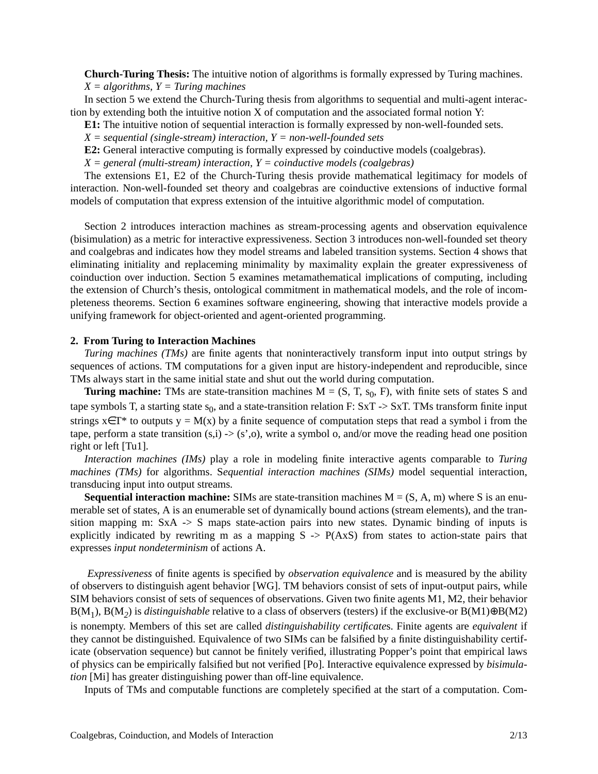**Church-Turing Thesis:** The intuitive notion of algorithms is formally expressed by Turing machines. *X = algorithms, Y = Turing machines*

In section 5 we extend the Church-Turing thesis from algorithms to sequential and multi-agent interaction by extending both the intuitive notion X of computation and the associated formal notion Y:

**E1:** The intuitive notion of sequential interaction is formally expressed by non-well-founded sets.

*X = sequential (single-stream) interaction, Y = non-well-founded sets*

**E2:** General interactive computing is formally expressed by coinductive models (coalgebras).

 $X = general$  (multi-stream) interaction,  $Y = coinductive$  models (coalgebras)

The extensions E1, E2 of the Church-Turing thesis provide mathematical legitimacy for models of interaction. Non-well-founded set theory and coalgebras are coinductive extensions of inductive formal models of computation that express extension of the intuitive algorithmic model of computation.

Section 2 introduces interaction machines as stream-processing agents and observation equivalence (bisimulation) as a metric for interactive expressiveness. Section 3 introduces non-well-founded set theory and coalgebras and indicates how they model streams and labeled transition systems. Section 4 shows that eliminating initiality and replaceming minimality by maximality explain the greater expressiveness of coinduction over induction. Section 5 examines metamathematical implications of computing, including the extension of Church's thesis, ontological commitment in mathematical models, and the role of incompleteness theorems. Section 6 examines software engineering, showing that interactive models provide a unifying framework for object-oriented and agent-oriented programming.

### **2. From Turing to Interaction Machines**

*Turing machines (TMs)* are finite agents that noninteractively transform input into output strings by sequences of actions. TM computations for a given input are history-independent and reproducible, since TMs always start in the same initial state and shut out the world during computation.

**Turing machine:** TMs are state-transition machines  $M = (S, T, s_0, F)$ , with finite sets of states S and tape symbols T, a starting state  $s_0$ , and a state-transition relation F:  $S \times T \rightarrow S \times T$ . TMs transform finite input strings  $x \in T^*$  to outputs  $y = M(x)$  by a finite sequence of computation steps that read a symbol i from the tape, perform a state transition  $(s,i)$   $\geq$   $(s',o)$ , write a symbol o, and/or move the reading head one position right or left [Tu1].

*Interaction machines (IMs)* play a role in modeling finite interactive agents comparable to *Turing machines (TMs)* for algorithms. S*equential interaction machines (SIMs)* model sequential interaction, transducing input into output streams*.*

**Sequential interaction machine:** SIMs are state-transition machines  $M = (S, A, m)$  where S is an enumerable set of states, A is an enumerable set of dynamically bound actions (stream elements), and the transition mapping m:  $SxA \rightarrow S$  maps state-action pairs into new states. Dynamic binding of inputs is explicitly indicated by rewriting m as a mapping  $S \rightarrow P(A \times S)$  from states to action-state pairs that expresses *input nondeterminism* of actions A.

*Expressiveness* of finite agents is specified by *observation equivalence* and is measured by the ability of observers to distinguish agent behavior [WG]. TM behaviors consist of sets of input-output pairs, while SIM behaviors consist of sets of sequences of observations. Given two finite agents M1, M2, their behavior B(M1), B(M*2*) is *distinguishable* relative to a class of observers (testers) if the exclusive-or B(M1)⊕B(M2) is nonempty. Members of this set are called *distinguishability certificate*s. Finite agents are *equivalent* if they cannot be distinguished. Equivalence of two SIMs can be falsified by a finite distinguishability certificate (observation sequence) but cannot be finitely verified, illustrating Popper's point that empirical laws of physics can be empirically falsified but not verified [Po]. Interactive equivalence expressed by *bisimulation* [Mi] has greater distinguishing power than off-line equivalence.

Inputs of TMs and computable functions are completely specified at the start of a computation. Com-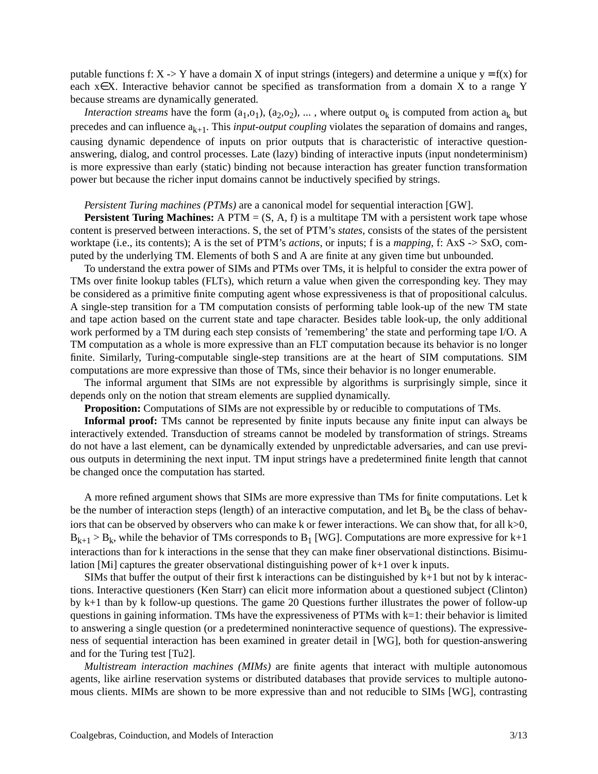putable functions f:  $X \rightarrow Y$  have a domain X of input strings (integers) and determine a unique  $y = f(x)$  for each x∈X. Interactive behavior cannot be specified as transformation from a domain X to a range Y because streams are dynamically generated.

*Interaction streams* have the form  $(a_1, o_1)$ ,  $(a_2, o_2)$ , ..., where output  $o_k$  is computed from action  $a_k$  but precedes and can influence  $a_{k+1}$ . This *input-output coupling* violates the separation of domains and ranges, causing dynamic dependence of inputs on prior outputs that is characteristic of interactive questionanswering, dialog, and control processes. Late (lazy) binding of interactive inputs (input nondeterminism) is more expressive than early (static) binding not because interaction has greater function transformation power but because the richer input domains cannot be inductively specified by strings.

### *Persistent Turing machines (PTMs)* are a canonical model for sequential interaction [GW].

**Persistent Turing Machines:** A PTM  $=(S, A, f)$  is a multitape TM with a persistent work tape whose content is preserved between interactions. S, the set of PTM's *states*, consists of the states of the persistent worktape (i.e., its contents); A is the set of PTM's *actions*, or inputs; f is a *mapping*, f: AxS -> SxO, computed by the underlying TM. Elements of both S and A are finite at any given time but unbounded.

To understand the extra power of SIMs and PTMs over TMs, it is helpful to consider the extra power of TMs over finite lookup tables (FLTs), which return a value when given the corresponding key. They may be considered as a primitive finite computing agent whose expressiveness is that of propositional calculus. A single-step transition for a TM computation consists of performing table look-up of the new TM state and tape action based on the current state and tape character. Besides table look-up, the only additional work performed by a TM during each step consists of 'remembering' the state and performing tape I/O. A TM computation as a whole is more expressive than an FLT computation because its behavior is no longer finite. Similarly, Turing-computable single-step transitions are at the heart of SIM computations. SIM computations are more expressive than those of TMs, since their behavior is no longer enumerable.

The informal argument that SIMs are not expressible by algorithms is surprisingly simple, since it depends only on the notion that stream elements are supplied dynamically.

**Proposition:** Computations of SIMs are not expressible by or reducible to computations of TMs.

**Informal proof:** TMs cannot be represented by finite inputs because any finite input can always be interactively extended. Transduction of streams cannot be modeled by transformation of strings. Streams do not have a last element, can be dynamically extended by unpredictable adversaries, and can use previous outputs in determining the next input. TM input strings have a predetermined finite length that cannot be changed once the computation has started.

A more refined argument shows that SIMs are more expressive than TMs for finite computations. Let k be the number of interaction steps (length) of an interactive computation, and let  $B_k$  be the class of behaviors that can be observed by observers who can make k or fewer interactions. We can show that, for all k>0,  $B_{k+1} > B_k$ , while the behavior of TMs corresponds to B<sub>1</sub> [WG]. Computations are more expressive for k+1 interactions than for k interactions in the sense that they can make finer observational distinctions. Bisimulation [Mi] captures the greater observational distinguishing power of k+1 over k inputs.

SIMs that buffer the output of their first k interactions can be distinguished by  $k+1$  but not by k interactions. Interactive questioners (Ken Starr) can elicit more information about a questioned subject (Clinton) by k+1 than by k follow-up questions. The game 20 Questions further illustrates the power of follow-up questions in gaining information. TMs have the expressiveness of PTMs with k=1: their behavior is limited to answering a single question (or a predetermined noninteractive sequence of questions). The expressiveness of sequential interaction has been examined in greater detail in [WG], both for question-answering and for the Turing test [Tu2].

*Multistream interaction machines (MIMs)* are finite agents that interact with multiple autonomous agents, like airline reservation systems or distributed databases that provide services to multiple autonomous clients. MIMs are shown to be more expressive than and not reducible to SIMs [WG], contrasting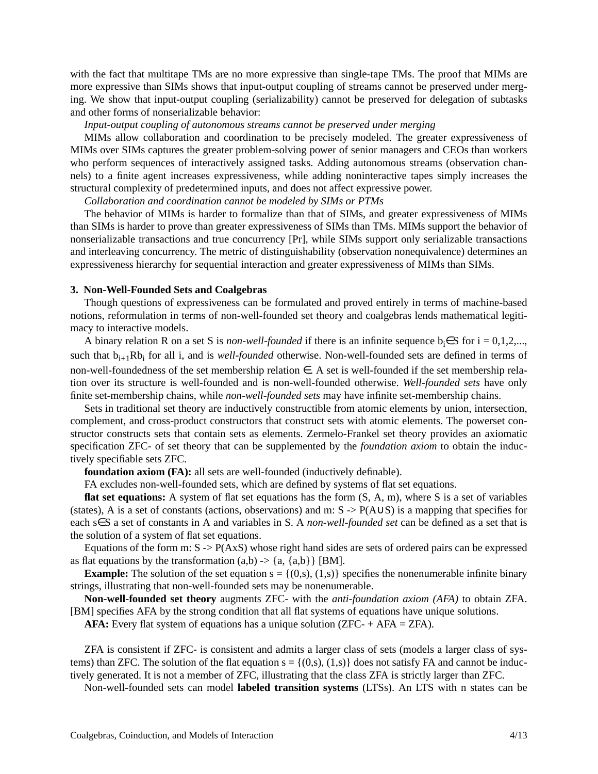with the fact that multitape TMs are no more expressive than single-tape TMs. The proof that MIMs are more expressive than SIMs shows that input-output coupling of streams cannot be preserved under merging. We show that input-output coupling (serializability) cannot be preserved for delegation of subtasks and other forms of nonserializable behavior:

*Input-output coupling of autonomous streams cannot be preserved under merging*

MIMs allow collaboration and coordination to be precisely modeled. The greater expressiveness of MIMs over SIMs captures the greater problem-solving power of senior managers and CEOs than workers who perform sequences of interactively assigned tasks. Adding autonomous streams (observation channels) to a finite agent increases expressiveness, while adding noninteractive tapes simply increases the structural complexity of predetermined inputs, and does not affect expressive power.

*Collaboration and coordination cannot be modeled by SIMs or PTMs*

The behavior of MIMs is harder to formalize than that of SIMs, and greater expressiveness of MIMs than SIMs is harder to prove than greater expressiveness of SIMs than TMs. MIMs support the behavior of nonserializable transactions and true concurrency [Pr], while SIMs support only serializable transactions and interleaving concurrency. The metric of distinguishability (observation nonequivalence) determines an expressiveness hierarchy for sequential interaction and greater expressiveness of MIMs than SIMs.

## **3. Non-Well-Founded Sets and Coalgebras**

Though questions of expressiveness can be formulated and proved entirely in terms of machine-based notions, reformulation in terms of non-well-founded set theory and coalgebras lends mathematical legitimacy to interactive models.

A binary relation R on a set S is *non-well-founded* if there is an infinite sequence  $b_i \in S$  for  $i = 0,1,2,...$ , such that  $b_{i+1}Rb_i$  for all i, and is *well-founded* otherwise. Non-well-founded sets are defined in terms of non-well-foundedness of the set membership relation ∈. A set is well-founded if the set membership relation over its structure is well-founded and is non-well-founded otherwise. *Well-founded sets* have only finite set-membership chains, while *non-well-founded sets* may have infinite set-membership chains.

Sets in traditional set theory are inductively constructible from atomic elements by union, intersection, complement, and cross-product constructors that construct sets with atomic elements. The powerset constructor constructs sets that contain sets as elements. Zermelo-Frankel set theory provides an axiomatic specification ZFC- of set theory that can be supplemented by the *foundation axiom* to obtain the inductively specifiable sets ZFC.

**foundation axiom (FA):** all sets are well-founded (inductively definable).

FA excludes non-well-founded sets, which are defined by systems of flat set equations.

**flat set equations:** A system of flat set equations has the form  $(S, A, m)$ , where S is a set of variables (states), A is a set of constants (actions, observations) and m:  $S \rightarrow P(A \cup S)$  is a mapping that specifies for each s∈S a set of constants in A and variables in S. A *non-well-founded set* can be defined as a set that is the solution of a system of flat set equations.

Equations of the form m:  $S \rightarrow P(A \times S)$  whose right hand sides are sets of ordered pairs can be expressed as flat equations by the transformation  $(a,b)$  ->  $\{a, \{a,b\}\}\$  [BM].

**Example:** The solution of the set equation  $s = \{(0,s), (1,s)\}\$  specifies the nonenumerable infinite binary strings, illustrating that non-well-founded sets may be nonenumerable.

**Non-well-founded set theory** augments ZFC- with the *anti-foundation axiom (AFA)* to obtain ZFA. [BM] specifies AFA by the strong condition that all flat systems of equations have unique solutions.

**AFA:** Every flat system of equations has a unique solution (ZFC- + AFA = ZFA).

ZFA is consistent if ZFC- is consistent and admits a larger class of sets (models a larger class of systems) than ZFC. The solution of the flat equation  $s = \{(0,s), (1,s)\}\$  does not satisfy FA and cannot be inductively generated. It is not a member of ZFC, illustrating that the class ZFA is strictly larger than ZFC.

Non-well-founded sets can model **labeled transition systems** (LTSs). An LTS with n states can be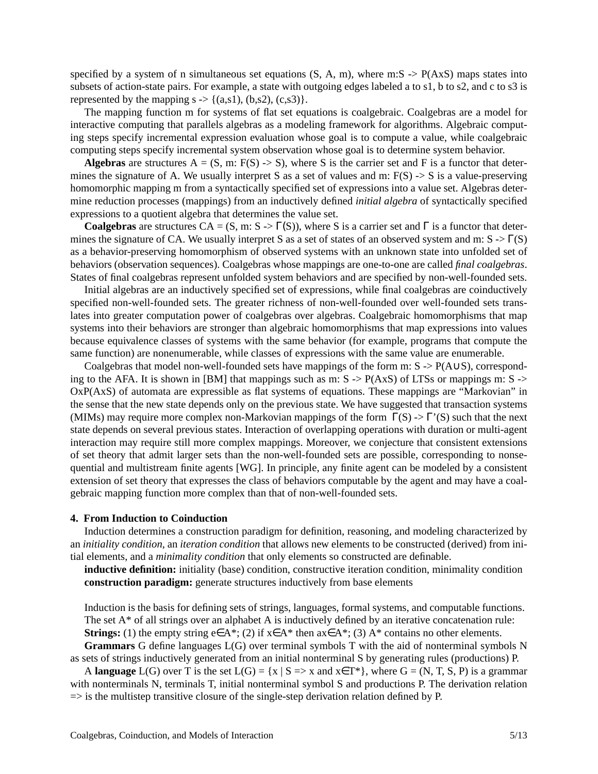specified by a system of n simultaneous set equations  $(S, A, m)$ , where m:S  $\rightarrow$  P(AxS) maps states into subsets of action-state pairs. For example, a state with outgoing edges labeled a to s1, b to s2, and c to s3 is represented by the mapping  $s \rightarrow \{(a,s1), (b,s2), (c,s3)\}.$ 

The mapping function m for systems of flat set equations is coalgebraic. Coalgebras are a model for interactive computing that parallels algebras as a modeling framework for algorithms. Algebraic computing steps specify incremental expression evaluation whose goal is to compute a value, while coalgebraic computing steps specify incremental system observation whose goal is to determine system behavior.

**Algebras** are structures  $A = (S, m: F(S) \rightarrow S)$ , where S is the carrier set and F is a functor that determines the signature of A. We usually interpret S as a set of values and m:  $F(S) \rightarrow S$  is a value-preserving homomorphic mapping m from a syntactically specified set of expressions into a value set. Algebras determine reduction processes (mappings) from an inductively defined *initial algebra* of syntactically specified expressions to a quotient algebra that determines the value set.

**Coalgebras** are structures  $CA = (S, m: S \rightarrow \Gamma(S))$ , where S is a carrier set and  $\Gamma$  is a functor that determines the signature of CA. We usually interpret S as a set of states of an observed system and m:  $S \rightarrow \Gamma(S)$ as a behavior-preserving homomorphism of observed systems with an unknown state into unfolded set of behaviors (observation sequences). Coalgebras whose mappings are one-to-one are called *final coalgebras*. States of final coalgebras represent unfolded system behaviors and are specified by non-well-founded sets.

Initial algebras are an inductively specified set of expressions, while final coalgebras are coinductively specified non-well-founded sets. The greater richness of non-well-founded over well-founded sets translates into greater computation power of coalgebras over algebras. Coalgebraic homomorphisms that map systems into their behaviors are stronger than algebraic homomorphisms that map expressions into values because equivalence classes of systems with the same behavior (for example, programs that compute the same function) are nonenumerable, while classes of expressions with the same value are enumerable.

Coalgebras that model non-well-founded sets have mappings of the form m:  $S \rightarrow P(A \cup S)$ , corresponding to the AFA. It is shown in [BM] that mappings such as m:  $S \rightarrow P(AxS)$  of LTSs or mappings m: S -> OxP(AxS) of automata are expressible as flat systems of equations. These mappings are "Markovian" in the sense that the new state depends only on the previous state. We have suggested that transaction systems (MIMs) may require more complex non-Markovian mappings of the form  $\Gamma(S) \rightarrow \Gamma'(S)$  such that the next state depends on several previous states. Interaction of overlapping operations with duration or multi-agent interaction may require still more complex mappings. Moreover, we conjecture that consistent extensions of set theory that admit larger sets than the non-well-founded sets are possible, corresponding to nonsequential and multistream finite agents [WG]. In principle, any finite agent can be modeled by a consistent extension of set theory that expresses the class of behaviors computable by the agent and may have a coalgebraic mapping function more complex than that of non-well-founded sets.

#### **4. From Induction to Coinduction**

Induction determines a construction paradigm for definition, reasoning, and modeling characterized by an *initiality condition*, an *iteration condition* that allows new elements to be constructed (derived) from initial elements, and a *minimality condition* that only elements so constructed are definable.

**inductive definition:** initiality (base) condition, constructive iteration condition, minimality condition **construction paradigm:** generate structures inductively from base elements

Induction is the basis for defining sets of strings, languages, formal systems, and computable functions. The set A\* of all strings over an alphabet A is inductively defined by an iterative concatenation rule: **Strings:** (1) the empty string e∈A\*; (2) if  $x \in A^*$  then  $ax \in A^*$ ; (3)  $A^*$  contains no other elements.

**Grammars** G define languages L(G) over terminal symbols T with the aid of nonterminal symbols N as sets of strings inductively generated from an initial nonterminal S by generating rules (productions) P.

A **language** L(G) over T is the set L(G) =  $\{x \mid S \implies x \text{ and } x \in T^*\}$ , where  $G = (N, T, S, P)$  is a grammar with nonterminals N, terminals T, initial nonterminal symbol S and productions P. The derivation relation  $\Rightarrow$  is the multistep transitive closure of the single-step derivation relation defined by P.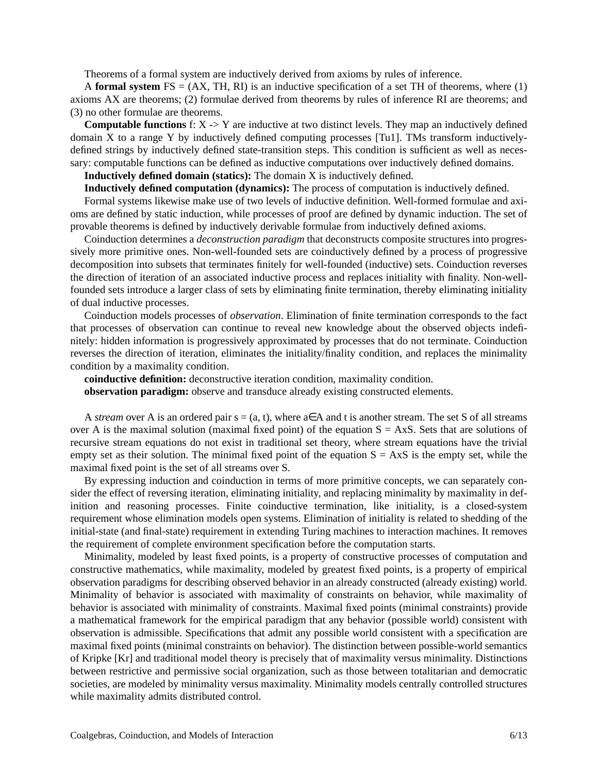Theorems of a formal system are inductively derived from axioms by rules of inference.

A **formal system** FS = (AX, TH, RI) is an inductive specification of a set TH of theorems, where (1) axioms AX are theorems; (2) formulae derived from theorems by rules of inference RI are theorems; and (3) no other formulae are theorems.

**Computable functions** f: X -> Y are inductive at two distinct levels. They map an inductively defined domain X to a range Y by inductively defined computing processes [Tu1]. TMs transform inductivelydefined strings by inductively defined state-transition steps. This condition is sufficient as well as necessary: computable functions can be defined as inductive computations over inductively defined domains.

**Inductively defined domain (statics):** The domain X is inductively defined.

**Inductively defined computation (dynamics):** The process of computation is inductively defined.

Formal systems likewise make use of two levels of inductive definition. Well-formed formulae and axioms are defined by static induction, while processes of proof are defined by dynamic induction. The set of provable theorems is defined by inductively derivable formulae from inductively defined axioms.

Coinduction determines a *deconstruction paradigm* that deconstructs composite structures into progressively more primitive ones. Non-well-founded sets are coinductively defined by a process of progressive decomposition into subsets that terminates finitely for well-founded (inductive) sets. Coinduction reverses the direction of iteration of an associated inductive process and replaces initiality with finality. Non-wellfounded sets introduce a larger class of sets by eliminating finite termination, thereby eliminating initiality of dual inductive processes.

Coinduction models processes of *observation*. Elimination of finite termination corresponds to the fact that processes of observation can continue to reveal new knowledge about the observed objects indefinitely: hidden information is progressively approximated by processes that do not terminate. Coinduction reverses the direction of iteration, eliminates the initiality/finality condition, and replaces the minimality condition by a maximality condition.

**coinductive definition:** deconstructive iteration condition, maximality condition. **observation paradigm:** observe and transduce already existing constructed elements.

A *stream* over A is an ordered pair  $s = (a, t)$ , where  $a \in A$  and t is another stream. The set S of all streams over A is the maximal solution (maximal fixed point) of the equation  $S = A \times S$ . Sets that are solutions of recursive stream equations do not exist in traditional set theory, where stream equations have the trivial empty set as their solution. The minimal fixed point of the equation  $S = A \times S$  is the empty set, while the maximal fixed point is the set of all streams over S.

By expressing induction and coinduction in terms of more primitive concepts, we can separately consider the effect of reversing iteration, eliminating initiality, and replacing minimality by maximality in definition and reasoning processes. Finite coinductive termination, like initiality, is a closed-system requirement whose elimination models open systems. Elimination of initiality is related to shedding of the initial-state (and final-state) requirement in extending Turing machines to interaction machines. It removes the requirement of complete environment specification before the computation starts.

Minimality, modeled by least fixed points, is a property of constructive processes of computation and constructive mathematics, while maximality, modeled by greatest fixed points, is a property of empirical observation paradigms for describing observed behavior in an already constructed (already existing) world. Minimality of behavior is associated with maximality of constraints on behavior, while maximality of behavior is associated with minimality of constraints. Maximal fixed points (minimal constraints) provide a mathematical framework for the empirical paradigm that any behavior (possible world) consistent with observation is admissible. Specifications that admit any possible world consistent with a specification are maximal fixed points (minimal constraints on behavior). The distinction between possible-world semantics of Kripke [Kr] and traditional model theory is precisely that of maximality versus minimality. Distinctions between restrictive and permissive social organization, such as those between totalitarian and democratic societies, are modeled by minimality versus maximality. Minimality models centrally controlled structures while maximality admits distributed control.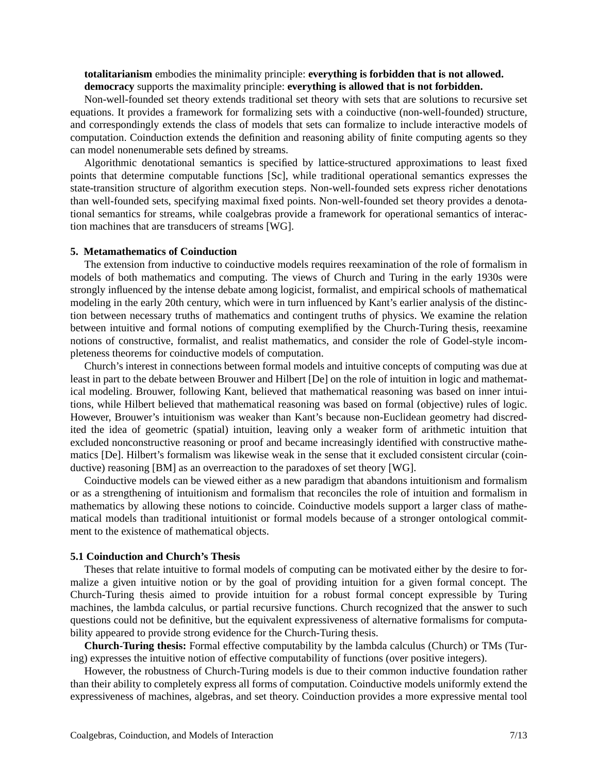# **totalitarianism** embodies the minimality principle: **everything is forbidden that is not allowed. democracy** supports the maximality principle: **everything is allowed that is not forbidden.**

Non-well-founded set theory extends traditional set theory with sets that are solutions to recursive set equations. It provides a framework for formalizing sets with a coinductive (non-well-founded) structure, and correspondingly extends the class of models that sets can formalize to include interactive models of computation. Coinduction extends the definition and reasoning ability of finite computing agents so they can model nonenumerable sets defined by streams.

Algorithmic denotational semantics is specified by lattice-structured approximations to least fixed points that determine computable functions [Sc], while traditional operational semantics expresses the state-transition structure of algorithm execution steps. Non-well-founded sets express richer denotations than well-founded sets, specifying maximal fixed points. Non-well-founded set theory provides a denotational semantics for streams, while coalgebras provide a framework for operational semantics of interaction machines that are transducers of streams [WG].

#### **5. Metamathematics of Coinduction**

The extension from inductive to coinductive models requires reexamination of the role of formalism in models of both mathematics and computing. The views of Church and Turing in the early 1930s were strongly influenced by the intense debate among logicist, formalist, and empirical schools of mathematical modeling in the early 20th century, which were in turn influenced by Kant's earlier analysis of the distinction between necessary truths of mathematics and contingent truths of physics. We examine the relation between intuitive and formal notions of computing exemplified by the Church-Turing thesis, reexamine notions of constructive, formalist, and realist mathematics, and consider the role of Godel-style incompleteness theorems for coinductive models of computation.

Church's interest in connections between formal models and intuitive concepts of computing was due at least in part to the debate between Brouwer and Hilbert [De] on the role of intuition in logic and mathematical modeling. Brouwer, following Kant, believed that mathematical reasoning was based on inner intuitions, while Hilbert believed that mathematical reasoning was based on formal (objective) rules of logic. However, Brouwer's intuitionism was weaker than Kant's because non-Euclidean geometry had discredited the idea of geometric (spatial) intuition, leaving only a weaker form of arithmetic intuition that excluded nonconstructive reasoning or proof and became increasingly identified with constructive mathematics [De]. Hilbert's formalism was likewise weak in the sense that it excluded consistent circular (coinductive) reasoning [BM] as an overreaction to the paradoxes of set theory [WG].

Coinductive models can be viewed either as a new paradigm that abandons intuitionism and formalism or as a strengthening of intuitionism and formalism that reconciles the role of intuition and formalism in mathematics by allowing these notions to coincide. Coinductive models support a larger class of mathematical models than traditional intuitionist or formal models because of a stronger ontological commitment to the existence of mathematical objects.

## **5.1 Coinduction and Church's Thesis**

Theses that relate intuitive to formal models of computing can be motivated either by the desire to formalize a given intuitive notion or by the goal of providing intuition for a given formal concept. The Church-Turing thesis aimed to provide intuition for a robust formal concept expressible by Turing machines, the lambda calculus, or partial recursive functions. Church recognized that the answer to such questions could not be definitive, but the equivalent expressiveness of alternative formalisms for computability appeared to provide strong evidence for the Church-Turing thesis.

**Church-Turing thesis:** Formal effective computability by the lambda calculus (Church) or TMs (Turing) expresses the intuitive notion of effective computability of functions (over positive integers).

However, the robustness of Church-Turing models is due to their common inductive foundation rather than their ability to completely express all forms of computation. Coinductive models uniformly extend the expressiveness of machines, algebras, and set theory. Coinduction provides a more expressive mental tool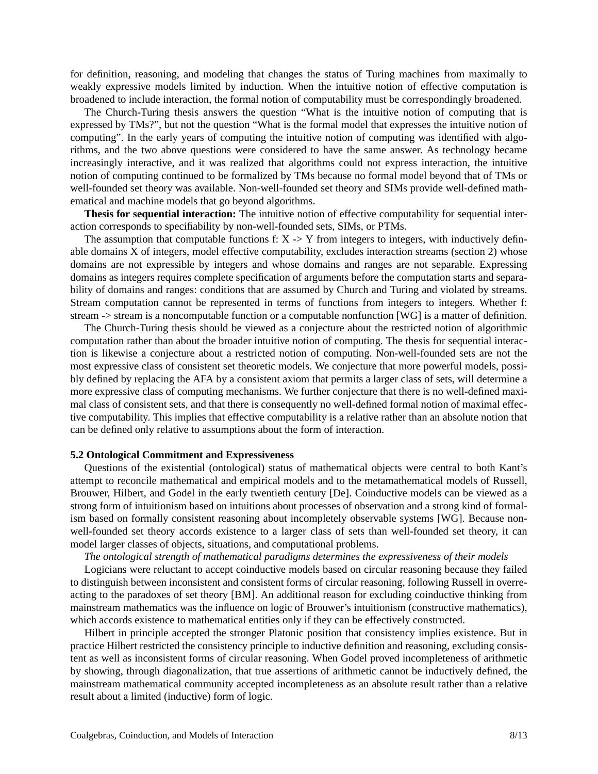for definition, reasoning, and modeling that changes the status of Turing machines from maximally to weakly expressive models limited by induction. When the intuitive notion of effective computation is broadened to include interaction, the formal notion of computability must be correspondingly broadened.

The Church-Turing thesis answers the question "What is the intuitive notion of computing that is expressed by TMs?", but not the question "What is the formal model that expresses the intuitive notion of computing". In the early years of computing the intuitive notion of computing was identified with algorithms, and the two above questions were considered to have the same answer. As technology became increasingly interactive, and it was realized that algorithms could not express interaction, the intuitive notion of computing continued to be formalized by TMs because no formal model beyond that of TMs or well-founded set theory was available. Non-well-founded set theory and SIMs provide well-defined mathematical and machine models that go beyond algorithms.

**Thesis for sequential interaction:** The intuitive notion of effective computability for sequential interaction corresponds to specifiability by non-well-founded sets, SIMs, or PTMs.

The assumption that computable functions f:  $X \rightarrow Y$  from integers to integers, with inductively definable domains X of integers, model effective computability, excludes interaction streams (section 2) whose domains are not expressible by integers and whose domains and ranges are not separable. Expressing domains as integers requires complete specification of arguments before the computation starts and separability of domains and ranges: conditions that are assumed by Church and Turing and violated by streams. Stream computation cannot be represented in terms of functions from integers to integers. Whether f: stream -> stream is a noncomputable function or a computable nonfunction [WG] is a matter of definition.

The Church-Turing thesis should be viewed as a conjecture about the restricted notion of algorithmic computation rather than about the broader intuitive notion of computing. The thesis for sequential interaction is likewise a conjecture about a restricted notion of computing. Non-well-founded sets are not the most expressive class of consistent set theoretic models. We conjecture that more powerful models, possibly defined by replacing the AFA by a consistent axiom that permits a larger class of sets, will determine a more expressive class of computing mechanisms. We further conjecture that there is no well-defined maximal class of consistent sets, and that there is consequently no well-defined formal notion of maximal effective computability. This implies that effective computability is a relative rather than an absolute notion that can be defined only relative to assumptions about the form of interaction.

#### **5.2 Ontological Commitment and Expressiveness**

Questions of the existential (ontological) status of mathematical objects were central to both Kant's attempt to reconcile mathematical and empirical models and to the metamathematical models of Russell, Brouwer, Hilbert, and Godel in the early twentieth century [De]. Coinductive models can be viewed as a strong form of intuitionism based on intuitions about processes of observation and a strong kind of formalism based on formally consistent reasoning about incompletely observable systems [WG]. Because nonwell-founded set theory accords existence to a larger class of sets than well-founded set theory, it can model larger classes of objects, situations, and computational problems.

*The ontological strength of mathematical paradigms determines the expressiveness of their models*

Logicians were reluctant to accept coinductive models based on circular reasoning because they failed to distinguish between inconsistent and consistent forms of circular reasoning, following Russell in overreacting to the paradoxes of set theory [BM]. An additional reason for excluding coinductive thinking from mainstream mathematics was the influence on logic of Brouwer's intuitionism (constructive mathematics), which accords existence to mathematical entities only if they can be effectively constructed.

Hilbert in principle accepted the stronger Platonic position that consistency implies existence. But in practice Hilbert restricted the consistency principle to inductive definition and reasoning, excluding consistent as well as inconsistent forms of circular reasoning. When Godel proved incompleteness of arithmetic by showing, through diagonalization, that true assertions of arithmetic cannot be inductively defined, the mainstream mathematical community accepted incompleteness as an absolute result rather than a relative result about a limited (inductive) form of logic.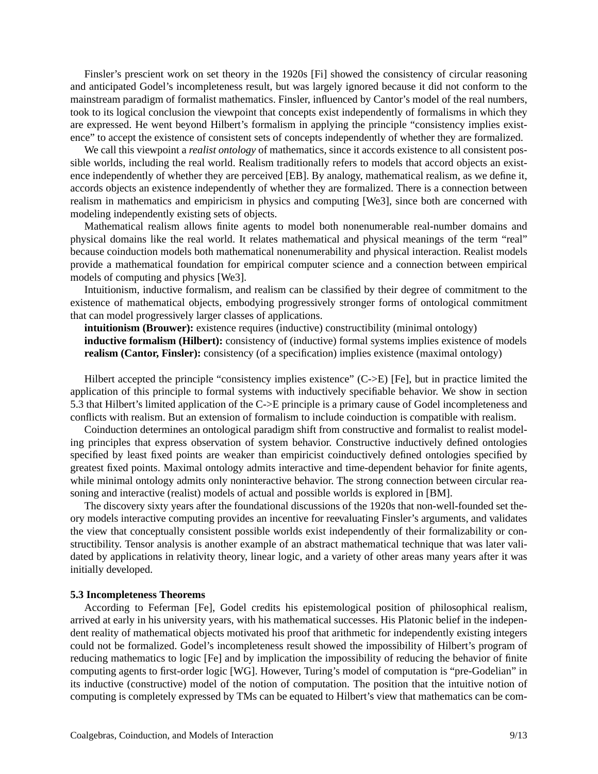Finsler's prescient work on set theory in the 1920s [Fi] showed the consistency of circular reasoning and anticipated Godel's incompleteness result, but was largely ignored because it did not conform to the mainstream paradigm of formalist mathematics. Finsler, influenced by Cantor's model of the real numbers, took to its logical conclusion the viewpoint that concepts exist independently of formalisms in which they are expressed. He went beyond Hilbert's formalism in applying the principle "consistency implies existence" to accept the existence of consistent sets of concepts independently of whether they are formalized.

We call this viewpoint a *realist ontology* of mathematics, since it accords existence to all consistent possible worlds, including the real world. Realism traditionally refers to models that accord objects an existence independently of whether they are perceived [EB]. By analogy, mathematical realism, as we define it, accords objects an existence independently of whether they are formalized. There is a connection between realism in mathematics and empiricism in physics and computing [We3], since both are concerned with modeling independently existing sets of objects.

Mathematical realism allows finite agents to model both nonenumerable real-number domains and physical domains like the real world. It relates mathematical and physical meanings of the term "real" because coinduction models both mathematical nonenumerability and physical interaction. Realist models provide a mathematical foundation for empirical computer science and a connection between empirical models of computing and physics [We3].

Intuitionism, inductive formalism, and realism can be classified by their degree of commitment to the existence of mathematical objects, embodying progressively stronger forms of ontological commitment that can model progressively larger classes of applications.

**intuitionism (Brouwer):** existence requires (inductive) constructibility (minimal ontology) **inductive formalism (Hilbert):** consistency of (inductive) formal systems implies existence of models **realism (Cantor, Finsler):** consistency (of a specification) implies existence (maximal ontology)

Hilbert accepted the principle "consistency implies existence" (C->E) [Fe], but in practice limited the application of this principle to formal systems with inductively specifiable behavior. We show in section 5.3 that Hilbert's limited application of the C->E principle is a primary cause of Godel incompleteness and conflicts with realism. But an extension of formalism to include coinduction is compatible with realism.

Coinduction determines an ontological paradigm shift from constructive and formalist to realist modeling principles that express observation of system behavior. Constructive inductively defined ontologies specified by least fixed points are weaker than empiricist coinductively defined ontologies specified by greatest fixed points. Maximal ontology admits interactive and time-dependent behavior for finite agents, while minimal ontology admits only noninteractive behavior. The strong connection between circular reasoning and interactive (realist) models of actual and possible worlds is explored in [BM].

The discovery sixty years after the foundational discussions of the 1920s that non-well-founded set theory models interactive computing provides an incentive for reevaluating Finsler's arguments, and validates the view that conceptually consistent possible worlds exist independently of their formalizability or constructibility. Tensor analysis is another example of an abstract mathematical technique that was later validated by applications in relativity theory, linear logic, and a variety of other areas many years after it was initially developed.

#### **5.3 Incompleteness Theorems**

According to Feferman [Fe], Godel credits his epistemological position of philosophical realism, arrived at early in his university years, with his mathematical successes. His Platonic belief in the independent reality of mathematical objects motivated his proof that arithmetic for independently existing integers could not be formalized. Godel's incompleteness result showed the impossibility of Hilbert's program of reducing mathematics to logic [Fe] and by implication the impossibility of reducing the behavior of finite computing agents to first-order logic [WG]. However, Turing's model of computation is "pre-Godelian" in its inductive (constructive) model of the notion of computation. The position that the intuitive notion of computing is completely expressed by TMs can be equated to Hilbert's view that mathematics can be com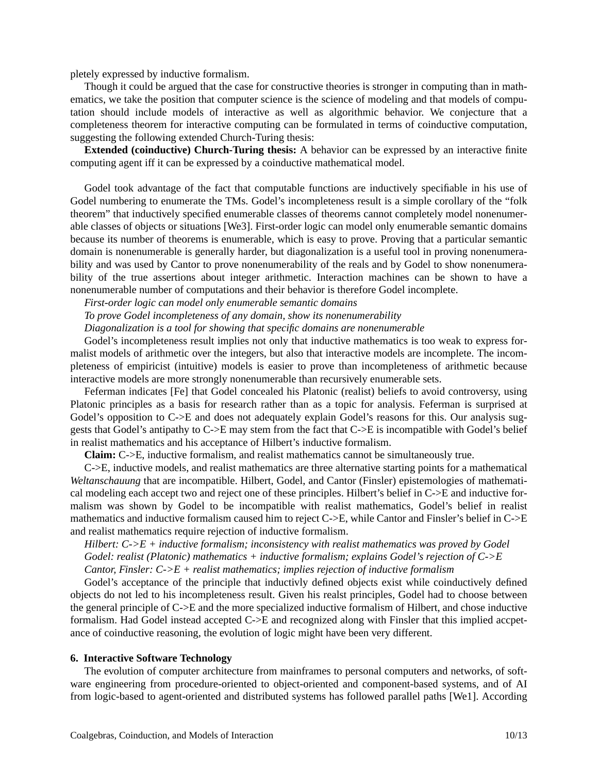pletely expressed by inductive formalism.

Though it could be argued that the case for constructive theories is stronger in computing than in mathematics, we take the position that computer science is the science of modeling and that models of computation should include models of interactive as well as algorithmic behavior. We conjecture that a completeness theorem for interactive computing can be formulated in terms of coinductive computation, suggesting the following extended Church-Turing thesis:

**Extended (coinductive) Church-Turing thesis:** A behavior can be expressed by an interactive finite computing agent iff it can be expressed by a coinductive mathematical model.

Godel took advantage of the fact that computable functions are inductively specifiable in his use of Godel numbering to enumerate the TMs. Godel's incompleteness result is a simple corollary of the "folk theorem" that inductively specified enumerable classes of theorems cannot completely model nonenumerable classes of objects or situations [We3]. First-order logic can model only enumerable semantic domains because its number of theorems is enumerable, which is easy to prove. Proving that a particular semantic domain is nonenumerable is generally harder, but diagonalization is a useful tool in proving nonenumerability and was used by Cantor to prove nonenumerability of the reals and by Godel to show nonenumerability of the true assertions about integer arithmetic. Interaction machines can be shown to have a nonenumerable number of computations and their behavior is therefore Godel incomplete.

*First-order logic can model only enumerable semantic domains To prove Godel incompleteness of any domain, show its nonenumerability Diagonalization is a tool for showing that specific domains are nonenumerable*

Godel's incompleteness result implies not only that inductive mathematics is too weak to express formalist models of arithmetic over the integers, but also that interactive models are incomplete. The incompleteness of empiricist (intuitive) models is easier to prove than incompleteness of arithmetic because interactive models are more strongly nonenumerable than recursively enumerable sets.

Feferman indicates [Fe] that Godel concealed his Platonic (realist) beliefs to avoid controversy, using Platonic principles as a basis for research rather than as a topic for analysis. Feferman is surprised at Godel's opposition to C- $\geq$ E and does not adequately explain Godel's reasons for this. Our analysis suggests that Godel's antipathy to C->E may stem from the fact that C->E is incompatible with Godel's belief in realist mathematics and his acceptance of Hilbert's inductive formalism.

**Claim:** C->E, inductive formalism, and realist mathematics cannot be simultaneously true.

C->E, inductive models, and realist mathematics are three alternative starting points for a mathematical *Weltanschauung* that are incompatible. Hilbert, Godel, and Cantor (Finsler) epistemologies of mathematical modeling each accept two and reject one of these principles. Hilbert's belief in C->E and inductive formalism was shown by Godel to be incompatible with realist mathematics, Godel's belief in realist mathematics and inductive formalism caused him to reject C->E, while Cantor and Finsler's belief in C->E and realist mathematics require rejection of inductive formalism.

*Hilbert: C->E + inductive formalism; inconsistency with realist mathematics was proved by Godel Godel: realist (Platonic) mathematics + inductive formalism; explains Godel's rejection of C->E Cantor, Finsler: C->E + realist mathematics; implies rejection of inductive formalism*

Godel's acceptance of the principle that inductivly defined objects exist while coinductively defined objects do not led to his incompleteness result. Given his realst principles, Godel had to choose between the general principle of C->E and the more specialized inductive formalism of Hilbert, and chose inductive formalism. Had Godel instead accepted C->E and recognized along with Finsler that this implied accpetance of coinductive reasoning, the evolution of logic might have been very different.

### **6. Interactive Software Technology**

The evolution of computer architecture from mainframes to personal computers and networks, of software engineering from procedure-oriented to object-oriented and component-based systems, and of AI from logic-based to agent-oriented and distributed systems has followed parallel paths [We1]. According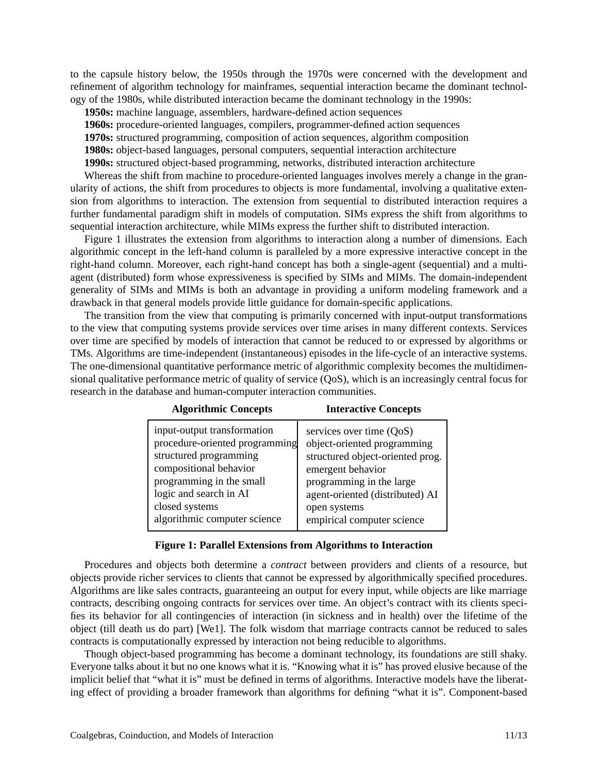to the capsule history below, the 1950s through the 1970s were concerned with the development and refinement of algorithm technology for mainframes, sequential interaction became the dominant technology of the 1980s, while distributed interaction became the dominant technology in the 1990s:

**1950s:** machine language, assemblers, hardware-defined action sequences

**1960s:** procedure-oriented languages, compilers, programmer-defined action sequences

**1970s:** structured programming, composition of action sequences, algorithm composition

**1980s:** object-based languages, personal computers, sequential interaction architecture

**1990s:** structured object-based programming, networks, distributed interaction architecture

Whereas the shift from machine to procedure-oriented languages involves merely a change in the granularity of actions, the shift from procedures to objects is more fundamental, involving a qualitative extension from algorithms to interaction. The extension from sequential to distributed interaction requires a further fundamental paradigm shift in models of computation. SIMs express the shift from algorithms to sequential interaction architecture, while MIMs express the further shift to distributed interaction.

Figure 1 illustrates the extension from algorithms to interaction along a number of dimensions. Each algorithmic concept in the left-hand column is paralleled by a more expressive interactive concept in the right-hand column. Moreover, each right-hand concept has both a single-agent (sequential) and a multiagent (distributed) form whose expressiveness is specified by SIMs and MIMs. The domain-independent generality of SIMs and MIMs is both an advantage in providing a uniform modeling framework and a drawback in that general models provide little guidance for domain-specific applications.

The transition from the view that computing is primarily concerned with input-output transformations to the view that computing systems provide services over time arises in many different contexts. Services over time are specified by models of interaction that cannot be reduced to or expressed by algorithms or TMs. Algorithms are time-independent (instantaneous) episodes in the life-cycle of an interactive systems. The one-dimensional quantitative performance metric of algorithmic complexity becomes the multidimensional qualitative performance metric of quality of service (QoS), which is an increasingly central focus for research in the database and human-computer interaction communities.

**Algorithmic Concepts Interactive Concepts**

| Algoriumine Concepts                                                                                                                                                                                                      | meracuve Concepts                                                                                                                                                                               |
|---------------------------------------------------------------------------------------------------------------------------------------------------------------------------------------------------------------------------|-------------------------------------------------------------------------------------------------------------------------------------------------------------------------------------------------|
| input-output transformation<br>procedure-oriented programming<br>structured programming<br>compositional behavior<br>programming in the small<br>logic and search in AI<br>closed systems<br>algorithmic computer science | services over time (QoS)<br>object-oriented programming<br>structured object-oriented prog.<br>emergent behavior<br>programming in the large<br>agent-oriented (distributed) AI<br>open systems |
|                                                                                                                                                                                                                           | empirical computer science                                                                                                                                                                      |

## **Figure 1: Parallel Extensions from Algorithms to Interaction**

Procedures and objects both determine a *contract* between providers and clients of a resource, but objects provide richer services to clients that cannot be expressed by algorithmically specified procedures. Algorithms are like sales contracts, guaranteeing an output for every input, while objects are like marriage contracts, describing ongoing contracts for services over time. An object's contract with its clients specifies its behavior for all contingencies of interaction (in sickness and in health) over the lifetime of the object (till death us do part) [We1]. The folk wisdom that marriage contracts cannot be reduced to sales contracts is computationally expressed by interaction not being reducible to algorithms.

Though object-based programming has become a dominant technology, its foundations are still shaky. Everyone talks about it but no one knows what it is. "Knowing what it is" has proved elusive because of the implicit belief that "what it is" must be defined in terms of algorithms. Interactive models have the liberating effect of providing a broader framework than algorithms for defining "what it is". Component-based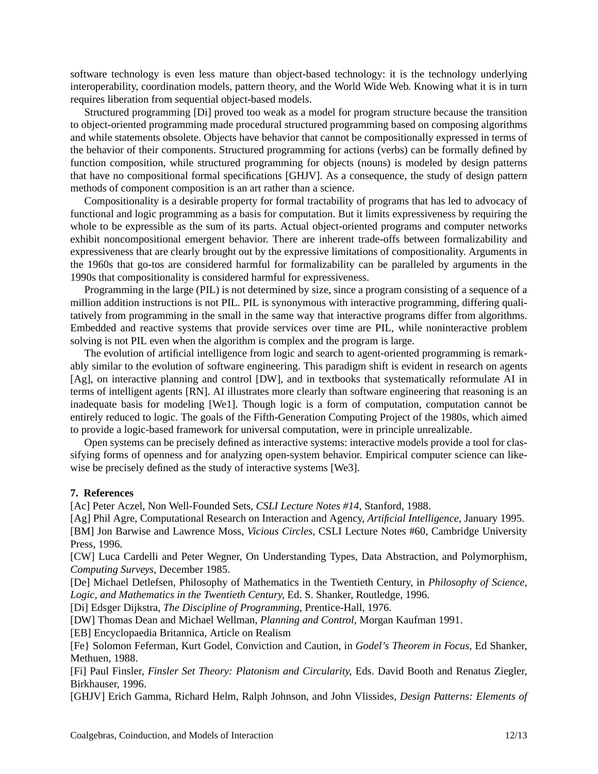software technology is even less mature than object-based technology: it is the technology underlying interoperability, coordination models, pattern theory, and the World Wide Web. Knowing what it is in turn requires liberation from sequential object-based models.

Structured programming [Di] proved too weak as a model for program structure because the transition to object-oriented programming made procedural structured programming based on composing algorithms and while statements obsolete. Objects have behavior that cannot be compositionally expressed in terms of the behavior of their components. Structured programming for actions (verbs) can be formally defined by function composition, while structured programming for objects (nouns) is modeled by design patterns that have no compositional formal specifications [GHJV]. As a consequence, the study of design pattern methods of component composition is an art rather than a science.

Compositionality is a desirable property for formal tractability of programs that has led to advocacy of functional and logic programming as a basis for computation. But it limits expressiveness by requiring the whole to be expressible as the sum of its parts. Actual object-oriented programs and computer networks exhibit noncompositional emergent behavior. There are inherent trade-offs between formalizability and expressiveness that are clearly brought out by the expressive limitations of compositionality. Arguments in the 1960s that go-tos are considered harmful for formalizability can be paralleled by arguments in the 1990s that compositionality is considered harmful for expressiveness.

Programming in the large (PIL) is not determined by size, since a program consisting of a sequence of a million addition instructions is not PIL. PIL is synonymous with interactive programming, differing qualitatively from programming in the small in the same way that interactive programs differ from algorithms. Embedded and reactive systems that provide services over time are PIL, while noninteractive problem solving is not PIL even when the algorithm is complex and the program is large.

The evolution of artificial intelligence from logic and search to agent-oriented programming is remarkably similar to the evolution of software engineering. This paradigm shift is evident in research on agents [Ag], on interactive planning and control [DW], and in textbooks that systematically reformulate AI in terms of intelligent agents [RN]. AI illustrates more clearly than software engineering that reasoning is an inadequate basis for modeling [We1]. Though logic is a form of computation, computation cannot be entirely reduced to logic. The goals of the Fifth-Generation Computing Project of the 1980s, which aimed to provide a logic-based framework for universal computation, were in principle unrealizable.

Open systems can be precisely defined as interactive systems: interactive models provide a tool for classifying forms of openness and for analyzing open-system behavior. Empirical computer science can likewise be precisely defined as the study of interactive systems [We3].

## **7. References**

[Ac] Peter Aczel, Non Well-Founded Sets, *CSLI Lecture Notes #14*, Stanford, 1988.

[Ag] Phil Agre, Computational Research on Interaction and Agency, *Artificial Intelligence*, January 1995.

[BM] Jon Barwise and Lawrence Moss, *Vicious Circles*, CSLI Lecture Notes #60, Cambridge University Press, 1996.

[CW] Luca Cardelli and Peter Wegner, On Understanding Types, Data Abstraction, and Polymorphism, *Computing Surveys*, December 1985.

[De] Michael Detlefsen, Philosophy of Mathematics in the Twentieth Century, in *Philosophy of Science, Logic, and Mathematics in the Twentieth Century*, Ed. S. Shanker, Routledge, 1996.

[Di] Edsger Dijkstra, *The Discipline of Programming*, Prentice-Hall, 1976.

[DW] Thomas Dean and Michael Wellman, *Planning and Control*, Morgan Kaufman 1991.

[EB] Encyclopaedia Britannica, Article on Realism

[Fe} Solomon Feferman, Kurt Godel, Conviction and Caution, in *Godel's Theorem in Focus*, Ed Shanker, Methuen, 1988.

[Fi] Paul Finsler, *Finsler Set Theory: Platonism and Circularity*, Eds. David Booth and Renatus Ziegler, Birkhauser, 1996.

[GHJV] Erich Gamma, Richard Helm, Ralph Johnson, and John Vlissides, *Design Patterns: Elements of*